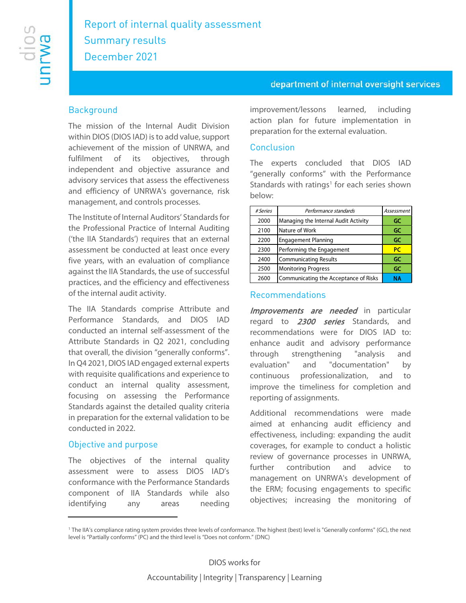## department of internal oversight services

## **Background**

The mission of the Internal Audit Division within DIOS (DIOS IAD) is to add value, support achievement of the mission of UNRWA, and fulfilment of its objectives, through independent and objective assurance and advisory services that assess the effectiveness and efficiency of UNRWA's governance, risk management, and controls processes.

The Institute of Internal Auditors' Standards for the Professional Practice of Internal Auditing ('the IIA Standards') requires that an external assessment be conducted at least once every five years, with an evaluation of compliance against the IIA Standards, the use of successful practices, and the efficiency and effectiveness of the internal audit activity.

The IIA Standards comprise Attribute and Performance Standards, and DIOS IAD conducted an internal self-assessment of the Attribute Standards in Q2 2021, concluding that overall, the division "generally conforms". In Q4 2021, DIOS IAD engaged external experts with requisite qualifications and experience to conduct an internal quality assessment, focusing on assessing the Performance Standards against the detailed quality criteria in preparation for the external validation to be conducted in 2022.

#### Objective and purpose

The objectives of the internal quality assessment were to assess DIOS IAD's conformance with the Performance Standards component of IIA Standards while also identifying any areas needing improvement/lessons learned, including action plan for future implementation in preparation for the external evaluation.

#### **Conclusion**

The experts concluded that DIOS IAD "generally conforms" with the Performance Standards with ratings<sup>1</sup> for each series shown below:

| # Series | Performance standards                 | Assessment |
|----------|---------------------------------------|------------|
| 2000     | Managing the Internal Audit Activity  | GC         |
| 2100     | Nature of Work                        | GC         |
| 2200     | <b>Engagement Planning</b>            | GC         |
| 2300     | Performing the Engagement             | <b>PC</b>  |
| 2400     | <b>Communicating Results</b>          | GC         |
| 2500     | <b>Monitoring Progress</b>            | GC         |
| 2600     | Communicating the Acceptance of Risks | NΑ         |

#### Recommendations

Improvements are needed in particular regard to 2300 series Standards, and recommendations were for DIOS IAD to: enhance audit and advisory performance through strengthening "analysis and evaluation" and "documentation" by continuous professionalization, and to improve the timeliness for completion and reporting of assignments.

Additional recommendations were made aimed at enhancing audit efficiency and effectiveness, including: expanding the audit coverages, for example to conduct a holistic review of governance processes in UNRWA, further contribution and advice to management on UNRWA's development of the ERM; focusing engagements to specific objectives; increasing the monitoring of

<span id="page-0-0"></span><sup>1</sup> The IIA's compliance rating system provides three levels of conformance. The highest (best) level is "Generally conforms" (GC), the next level is "Partially conforms" (PC) and the third level is "Does not conform." (DNC)